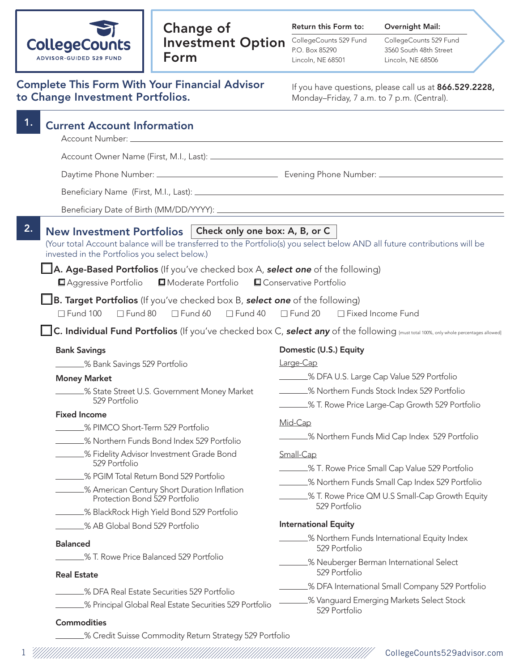

## Change of Investment Option Form

Return this Form to:

CollegeCounts 529 Fund P.O. Box 85290 Lincoln, NE 68501

Overnight Mail: CollegeCounts 529 Fund 3560 South 48th Street Lincoln, NE 68506

| <b>Complete This Form With Your Financial Advisor</b> |  |
|-------------------------------------------------------|--|
| to Change Investment Portfolios.                      |  |

If you have questions, please call us at 866.529.2228, Monday–Friday, 7 a.m. to 7 p.m. (Central).

| 1.<br><b>Current Account Information</b>                                                                                                                                                                                                                                                                                                                                                                                                                                             |                                                                  |
|--------------------------------------------------------------------------------------------------------------------------------------------------------------------------------------------------------------------------------------------------------------------------------------------------------------------------------------------------------------------------------------------------------------------------------------------------------------------------------------|------------------------------------------------------------------|
|                                                                                                                                                                                                                                                                                                                                                                                                                                                                                      |                                                                  |
|                                                                                                                                                                                                                                                                                                                                                                                                                                                                                      |                                                                  |
|                                                                                                                                                                                                                                                                                                                                                                                                                                                                                      |                                                                  |
|                                                                                                                                                                                                                                                                                                                                                                                                                                                                                      |                                                                  |
|                                                                                                                                                                                                                                                                                                                                                                                                                                                                                      |                                                                  |
| 2.<br>Check only one box: A, B, or C<br><b>New Investment Portfolios</b><br>(Your total Account balance will be transferred to the Portfolio(s) you select below AND all future contributions will be<br>invested in the Portfolios you select below.)<br>$\Box$ A. Age-Based Portfolios (If you've checked box A, select one of the following)<br>Aggressive Portfolio<br>■Moderate Portfolio<br>$\Box$ B. Target Portfolios (If you've checked box B, select one of the following) | Conservative Portfolio                                           |
| $\Box$ Fund 100<br>$\Box$ Fund 80<br>$\square$ Fund 60<br>$\Box$ Fund 40                                                                                                                                                                                                                                                                                                                                                                                                             | $\Box$ Fund 20<br>□ Fixed Income Fund                            |
| C. Individual Fund Portfolios (If you've checked box C, select any of the following [must total 100%, only whole percentages allowed]                                                                                                                                                                                                                                                                                                                                                |                                                                  |
| <b>Bank Savings</b>                                                                                                                                                                                                                                                                                                                                                                                                                                                                  | Domestic (U.S.) Equity                                           |
| _____% Bank Savings 529 Portfolio                                                                                                                                                                                                                                                                                                                                                                                                                                                    | Large-Cap                                                        |
| <b>Money Market</b>                                                                                                                                                                                                                                                                                                                                                                                                                                                                  | _______% DFA U.S. Large Cap Value 529 Portfolio                  |
| ______% State Street U.S. Government Money Market<br>529 Portfolio                                                                                                                                                                                                                                                                                                                                                                                                                   | - % Northern Funds Stock Index 529 Portfolio                     |
| <b>Fixed Income</b>                                                                                                                                                                                                                                                                                                                                                                                                                                                                  | ________% T. Rowe Price Large-Cap Growth 529 Portfolio           |
| - % PIMCO Short-Term 529 Portfolio                                                                                                                                                                                                                                                                                                                                                                                                                                                   | Mid-Cap                                                          |
| 8 Northern Funds Bond Index 529 Portfolio                                                                                                                                                                                                                                                                                                                                                                                                                                            | ______% Northern Funds Mid Cap Index 529 Portfolio               |
| _____% Fidelity Advisor Investment Grade Bond                                                                                                                                                                                                                                                                                                                                                                                                                                        | Small-Cap                                                        |
| 529 Portfolio                                                                                                                                                                                                                                                                                                                                                                                                                                                                        | 67. T. Rowe Price Small Cap Value 529 Portfolio                  |
| 8 PGIM Total Return Bond 529 Portfolio                                                                                                                                                                                                                                                                                                                                                                                                                                               | _______% Northern Funds Small Cap Index 529 Portfolio            |
| 8 American Century Short Duration Inflation<br>Protection Bond 529 Portfolio                                                                                                                                                                                                                                                                                                                                                                                                         | .% T. Rowe Price QM U.S Small-Cap Growth Equity<br>529 Portfolio |
| % BlackRock High Yield Bond 529 Portfolio                                                                                                                                                                                                                                                                                                                                                                                                                                            |                                                                  |
| % AB Global Bond 529 Portfolio                                                                                                                                                                                                                                                                                                                                                                                                                                                       | <b>International Equity</b>                                      |
| <b>Balanced</b>                                                                                                                                                                                                                                                                                                                                                                                                                                                                      | _% Northern Funds International Equity Index<br>529 Portfolio    |
| % T. Rowe Price Balanced 529 Portfolio<br><b>Real Estate</b>                                                                                                                                                                                                                                                                                                                                                                                                                         | _% Neuberger Berman International Select<br>529 Portfolio        |
| _% DFA Real Estate Securities 529 Portfolio                                                                                                                                                                                                                                                                                                                                                                                                                                          | _% DFA International Small Company 529 Portfolio                 |
| _% Principal Global Real Estate Securities 529 Portfolio                                                                                                                                                                                                                                                                                                                                                                                                                             | % Vanguard Emerging Markets Select Stock<br>529 Portfolio        |
| <b>Commodities</b>                                                                                                                                                                                                                                                                                                                                                                                                                                                                   |                                                                  |
| % Credit Suisse Commodity Return Strategy 529 Portfolio                                                                                                                                                                                                                                                                                                                                                                                                                              |                                                                  |